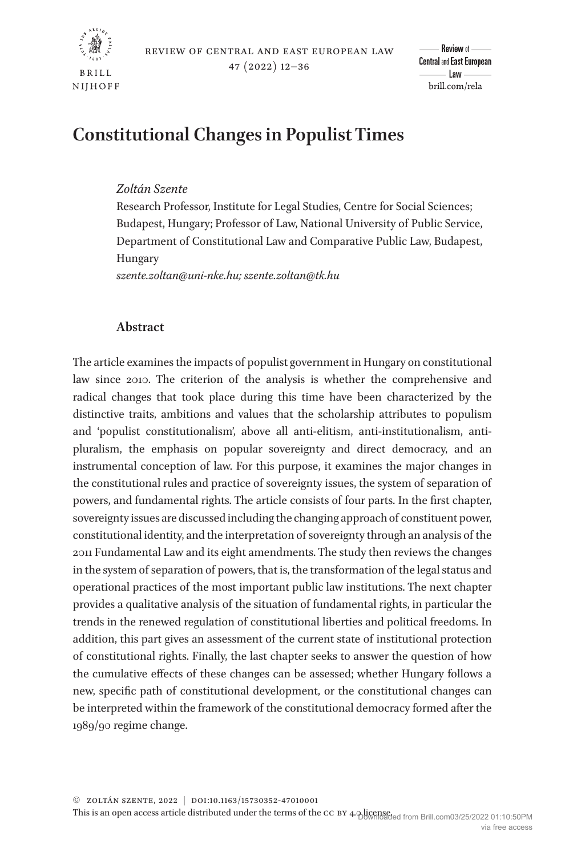

# **Constitutional Changes in Populist Times**

## *Zoltán Szente*

Research Professor, Institute for Legal Studies, Centre for Social Sciences; Budapest, Hungary; Professor of Law, National University of Public Service, Department of Constitutional Law and Comparative Public Law, Budapest, Hungary

*szente.zoltan@uni-nke.hu; szente.zoltan@tk.hu*

## **Abstract**

The article examines the impacts of populist government in Hungary on constitutional law since 2010. The criterion of the analysis is whether the comprehensive and radical changes that took place during this time have been characterized by the distinctive traits, ambitions and values that the scholarship attributes to populism and 'populist constitutionalism', above all anti-elitism, anti-institutionalism, antipluralism, the emphasis on popular sovereignty and direct democracy, and an instrumental conception of law. For this purpose, it examines the major changes in the constitutional rules and practice of sovereignty issues, the system of separation of powers, and fundamental rights. The article consists of four parts. In the first chapter, sovereignty issues are discussed including the changing approach of constituent power, constitutional identity, and the interpretation of sovereignty through an analysis of the 2011 Fundamental Law and its eight amendments. The study then reviews the changes in the system of separation of powers, that is, the transformation of the legal status and operational practices of the most important public law institutions. The next chapter provides a qualitative analysis of the situation of fundamental rights, in particular the trends in the renewed regulation of constitutional liberties and political freedoms. In addition, this part gives an assessment of the current state of institutional protection of constitutional rights. Finally, the last chapter seeks to answer the question of how the cumulative effects of these changes can be assessed; whether Hungary follows a new, specific path of constitutional development, or the constitutional changes can be interpreted within the framework of the constitutional democracy formed after the 1989/90 regime change.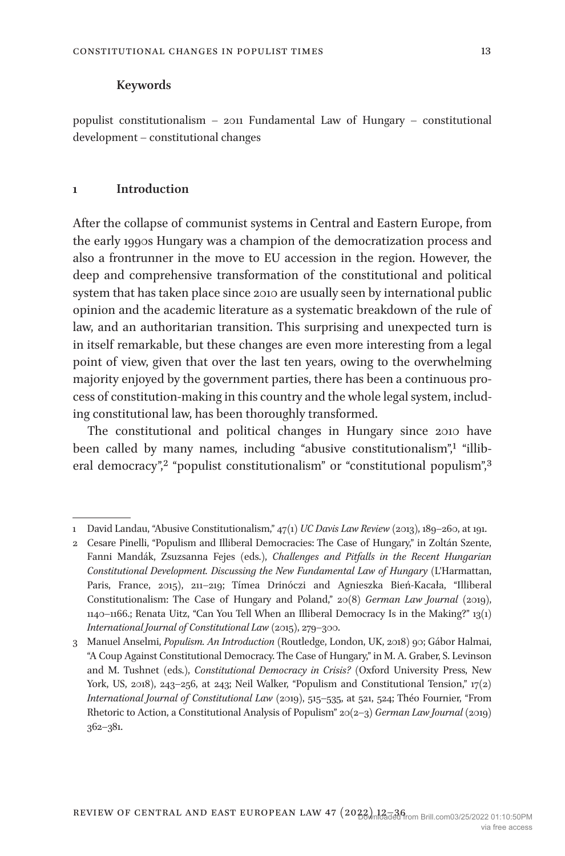#### **Keywords**

populist constitutionalism – 2011 Fundamental Law of Hungary – constitutional development – constitutional changes

## **1 Introduction**

After the collapse of communist systems in Central and Eastern Europe, from the early 1990s Hungary was a champion of the democratization process and also a frontrunner in the move to EU accession in the region. However, the deep and comprehensive transformation of the constitutional and political system that has taken place since 2010 are usually seen by international public opinion and the academic literature as a systematic breakdown of the rule of law, and an authoritarian transition. This surprising and unexpected turn is in itself remarkable, but these changes are even more interesting from a legal point of view, given that over the last ten years, owing to the overwhelming majority enjoyed by the government parties, there has been a continuous process of constitution-making in this country and the whole legal system, including constitutional law, has been thoroughly transformed.

The constitutional and political changes in Hungary since 2010 have been called by many names, including "abusive constitutionalism"[,1](#page-1-0) "illib-eral democracy",<sup>2</sup> "populist constitutionalism" or "constitutional populism",<sup>[3](#page-1-2)</sup>

<span id="page-1-0"></span><sup>1</sup> David Landau, "Abusive Constitutionalism," 47(1) *UC Davis Law Review* (2013), 189–260, at 191.

<span id="page-1-1"></span><sup>2</sup> Cesare Pinelli, "Populism and Illiberal Democracies: The Case of Hungary," in Zoltán Szente, Fanni Mandák, Zsuzsanna Fejes (eds.), *Challenges and Pitfalls in the Recent Hungarian Constitutional Development. Discussing the New Fundamental Law of Hungary* (L'Harmattan, Paris, France, 2015), 211–219; Tímea Drinóczi and Agnieszka Bień-Kacała, "Illiberal Constitutionalism: The Case of Hungary and Poland," 20(8) *German Law Journal* (2019), 1140–1166.; Renata Uitz, "Can You Tell When an Illiberal Democracy Is in the Making?" 13(1) *International Journal of Constitutional Law* (2015), 279–300.

<span id="page-1-2"></span><sup>3</sup> Manuel Anselmi, *Populism. An Introduction* (Routledge, London, UK, 2018) 90; Gábor Halmai, "A Coup Against Constitutional Democracy. The Case of Hungary," in M. A. Graber, S. Levinson and M. Tushnet (eds.), *Constitutional Democracy in Crisis?* (Oxford University Press, New York, US, 2018), 243-256, at 243; Neil Walker, "Populism and Constitutional Tension,"  $17(2)$ *International Journal of Constitutional Law* (2019), 515–535, at 521, 524; Théo Fournier, "From Rhetoric to Action, a Constitutional Analysis of Populism" 20(2–3) *German Law Journal* (2019) 362–381.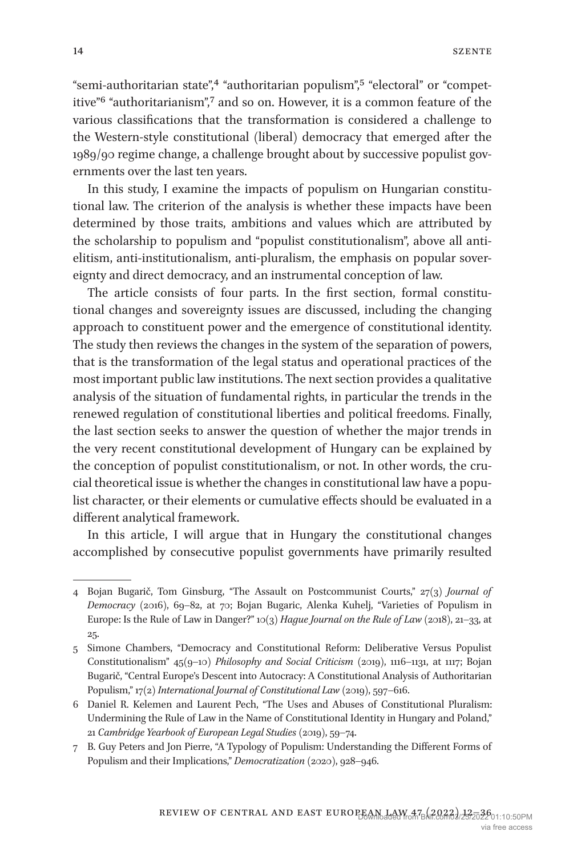"semi-authoritarian state",<sup>4</sup> "authoritarian populism",<sup>5</sup> "electoral" or "competitive["6](#page-2-2) "authoritarianism"[,7](#page-2-3) and so on. However, it is a common feature of the various classifications that the transformation is considered a challenge to the Western-style constitutional (liberal) democracy that emerged after the 1989/90 regime change, a challenge brought about by successive populist governments over the last ten years.

In this study, I examine the impacts of populism on Hungarian constitutional law. The criterion of the analysis is whether these impacts have been determined by those traits, ambitions and values which are attributed by the scholarship to populism and "populist constitutionalism", above all antielitism, anti-institutionalism, anti-pluralism, the emphasis on popular sovereignty and direct democracy, and an instrumental conception of law.

The article consists of four parts. In the first section, formal constitutional changes and sovereignty issues are discussed, including the changing approach to constituent power and the emergence of constitutional identity. The study then reviews the changes in the system of the separation of powers, that is the transformation of the legal status and operational practices of the most important public law institutions. The next section provides a qualitative analysis of the situation of fundamental rights, in particular the trends in the renewed regulation of constitutional liberties and political freedoms. Finally, the last section seeks to answer the question of whether the major trends in the very recent constitutional development of Hungary can be explained by the conception of populist constitutionalism, or not. In other words, the crucial theoretical issue is whether the changes in constitutional law have a populist character, or their elements or cumulative effects should be evaluated in a different analytical framework.

In this article, I will argue that in Hungary the constitutional changes accomplished by consecutive populist governments have primarily resulted

<span id="page-2-0"></span><sup>4</sup> Bojan Bugarič, Tom Ginsburg, "The Assault on Postcommunist Courts," 27(3) *Journal of Democracy* (2016), 69–82, at 70; Bojan Bugaric, Alenka Kuhelj, "Varieties of Populism in Europe: Is the Rule of Law in Danger?" 10(3) *Hague Journal on the Rule of Law* (2018), 21–33, at 25.

<span id="page-2-1"></span><sup>5</sup> Simone Chambers, "Democracy and Constitutional Reform: Deliberative Versus Populist Constitutionalism" 45(9–10) *Philosophy and Social Criticism* (2019), 1116–1131, at 1117; Bojan Bugarič, "Central Europe's Descent into Autocracy: A Constitutional Analysis of Authoritarian Populism," 17(2) *International Journal of Constitutional Law* (2019), 597–616.

<span id="page-2-2"></span><sup>6</sup> Daniel R. Kelemen and Laurent Pech, "The Uses and Abuses of Constitutional Pluralism: Undermining the Rule of Law in the Name of Constitutional Identity in Hungary and Poland," 21 *Cambridge Yearbook of European Legal Studies* (2019), 59–74.

<span id="page-2-3"></span><sup>7</sup> B. Guy Peters and Jon Pierre, "A Typology of Populism: Understanding the Different Forms of Populism and their Implications," *Democratization* (2020), 928–946.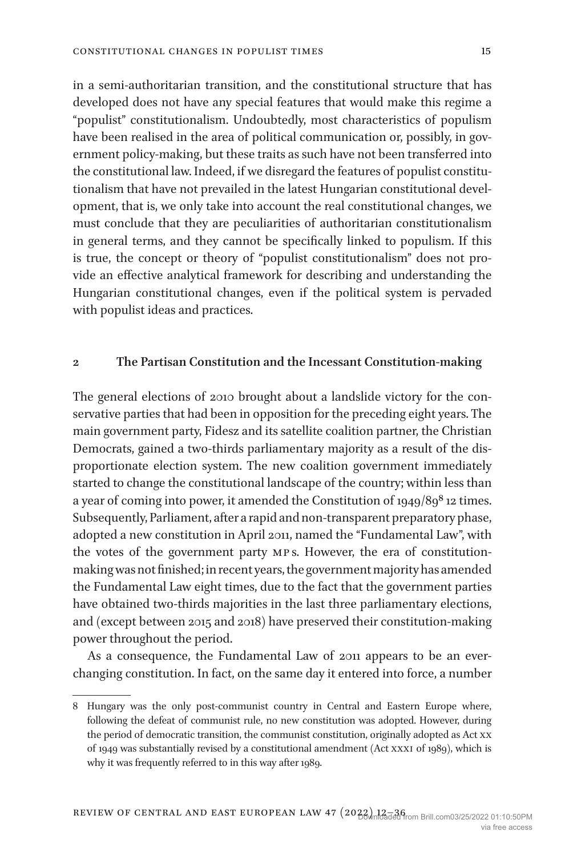in a semi-authoritarian transition, and the constitutional structure that has developed does not have any special features that would make this regime a "populist" constitutionalism. Undoubtedly, most characteristics of populism have been realised in the area of political communication or, possibly, in government policy-making, but these traits as such have not been transferred into the constitutional law. Indeed, if we disregard the features of populist constitutionalism that have not prevailed in the latest Hungarian constitutional development, that is, we only take into account the real constitutional changes, we must conclude that they are peculiarities of authoritarian constitutionalism in general terms, and they cannot be specifically linked to populism. If this is true, the concept or theory of "populist constitutionalism" does not provide an effective analytical framework for describing and understanding the Hungarian constitutional changes, even if the political system is pervaded with populist ideas and practices.

#### **2 The Partisan Constitution and the Incessant Constitution-making**

The general elections of 2010 brought about a landslide victory for the conservative parties that had been in opposition for the preceding eight years. The main government party, Fidesz and its satellite coalition partner, the Christian Democrats, gained a two-thirds parliamentary majority as a result of the disproportionate election system. The new coalition government immediately started to change the constitutional landscape of the country; within less than a year of coming into power, it amended the Constitution of 1949/89<sup>8</sup> 12 times. Subsequently, Parliament, after a rapid and non-transparent preparatory phase, adopted a new constitution in April 2011, named the "Fundamental Law", with the votes of the government party mp s. However, the era of constitutionmaking was not finished; in recent years, the government majority has amended the Fundamental Law eight times, due to the fact that the government parties have obtained two-thirds majorities in the last three parliamentary elections, and (except between 2015 and 2018) have preserved their constitution-making power throughout the period.

As a consequence, the Fundamental Law of 2011 appears to be an everchanging constitution. In fact, on the same day it entered into force, a number

<span id="page-3-0"></span><sup>8</sup> Hungary was the only post-communist country in Central and Eastern Europe where, following the defeat of communist rule, no new constitution was adopted. However, during the period of democratic transition, the communist constitution, originally adopted as Act xx of 1949 was substantially revised by a constitutional amendment (Act xxxi of 1989), which is why it was frequently referred to in this way after 1989.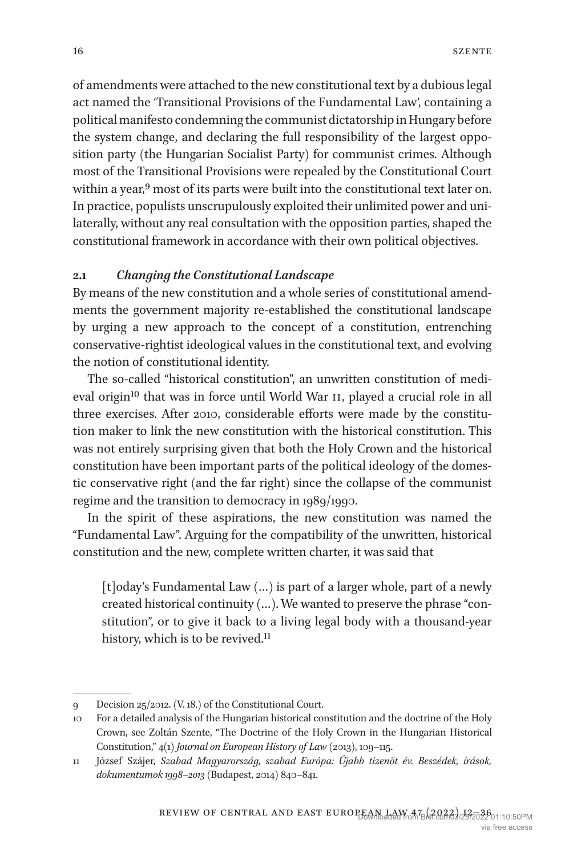of amendments were attached to the new constitutional text by a dubious legal act named the 'Transitional Provisions of the Fundamental Law', containing a political manifesto condemning the communist dictatorship in Hungary before the system change, and declaring the full responsibility of the largest opposition party (the Hungarian Socialist Party) for communist crimes. Although most of the Transitional Provisions were repealed by the Constitutional Court within a year,<sup>9</sup> most of its parts were built into the constitutional text later on. In practice, populists unscrupulously exploited their unlimited power and unilaterally, without any real consultation with the opposition parties, shaped the constitutional framework in accordance with their own political objectives.

## **2.1** *Changing the Constitutional Landscape*

By means of the new constitution and a whole series of constitutional amendments the government majority re-established the constitutional landscape by urging a new approach to the concept of a constitution, entrenching conservative-rightist ideological values in the constitutional text, and evolving the notion of constitutional identity.

The so-called "historical constitution", an unwritten constitution of medieval origin<sup>10</sup> that was in force until World War II, played a crucial role in all three exercises. After 2010, considerable efforts were made by the constitution maker to link the new constitution with the historical constitution. This was not entirely surprising given that both the Holy Crown and the historical constitution have been important parts of the political ideology of the domestic conservative right (and the far right) since the collapse of the communist regime and the transition to democracy in 1989/1990.

In the spirit of these aspirations, the new constitution was named the "Fundamental Law". Arguing for the compatibility of the unwritten, historical constitution and the new, complete written charter, it was said that

[t]oday's Fundamental Law (…) is part of a larger whole, part of a newly created historical continuity (…). We wanted to preserve the phrase "constitution", or to give it back to a living legal body with a thousand-year history, which is to be revived.<sup>11</sup>

<span id="page-4-0"></span><sup>9</sup> Decision 25/2012. (V. 18.) of the Constitutional Court.

<span id="page-4-1"></span><sup>10</sup> For a detailed analysis of the Hungarian historical constitution and the doctrine of the Holy Crown, see Zoltán Szente, "The Doctrine of the Holy Crown in the Hungarian Historical Constitution," 4(1) *Journal on European History of Law* (2013), 109–115.

<span id="page-4-2"></span><sup>11</sup> József Szájer, *Szabad Magyarország, szabad Európa: Újabb tizenöt év. Beszédek, írások, dokumentumok 1998‒2013* (Budapest, 2014) 840–841.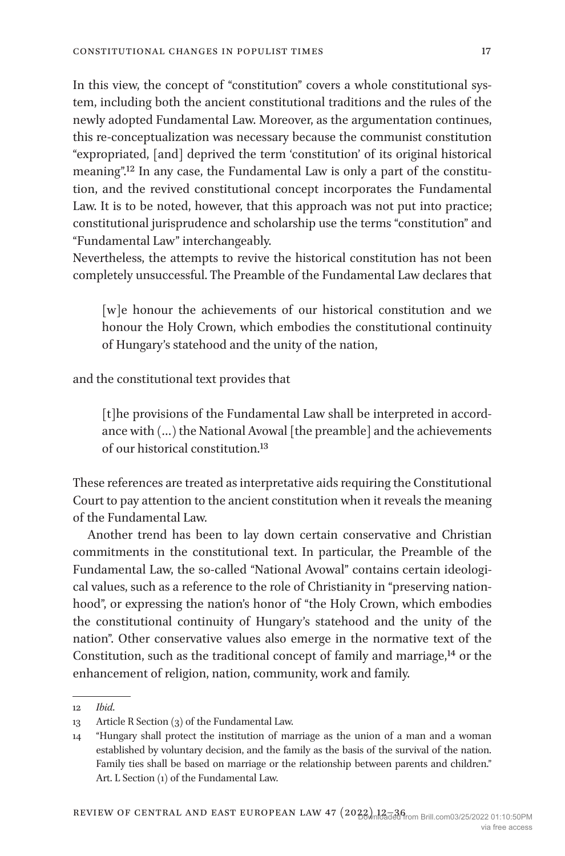In this view, the concept of "constitution" covers a whole constitutional system, including both the ancient constitutional traditions and the rules of the newly adopted Fundamental Law. Moreover, as the argumentation continues, this re-conceptualization was necessary because the communist constitution "expropriated, [and] deprived the term 'constitution' of its original historical meaning"[.12](#page-5-0) In any case, the Fundamental Law is only a part of the constitution, and the revived constitutional concept incorporates the Fundamental Law. It is to be noted, however, that this approach was not put into practice; constitutional jurisprudence and scholarship use the terms "constitution" and "Fundamental Law" interchangeably.

Nevertheless, the attempts to revive the historical constitution has not been completely unsuccessful. The Preamble of the Fundamental Law declares that

[w]e honour the achievements of our historical constitution and we honour the Holy Crown, which embodies the constitutional continuity of Hungary's statehood and the unity of the nation,

and the constitutional text provides that

[t]he provisions of the Fundamental Law shall be interpreted in accordance with (…) the National Avowal [the preamble] and the achievements of our historical constitution[.13](#page-5-1)

These references are treated as interpretative aids requiring the Constitutional Court to pay attention to the ancient constitution when it reveals the meaning of the Fundamental Law.

Another trend has been to lay down certain conservative and Christian commitments in the constitutional text. In particular, the Preamble of the Fundamental Law, the so-called "National Avowal" contains certain ideological values, such as a reference to the role of Christianity in "preserving nationhood", or expressing the nation's honor of "the Holy Crown, which embodies the constitutional continuity of Hungary's statehood and the unity of the nation". Other conservative values also emerge in the normative text of the Constitution, such as the traditional concept of family and marriage,<sup>14</sup> or the enhancement of religion, nation, community, work and family.

<span id="page-5-0"></span><sup>12</sup> *Ibid*.

<span id="page-5-1"></span><sup>13</sup> Article R Section (3) of the Fundamental Law.

<span id="page-5-2"></span><sup>14</sup> "Hungary shall protect the institution of marriage as the union of a man and a woman established by voluntary decision, and the family as the basis of the survival of the nation. Family ties shall be based on marriage or the relationship between parents and children." Art. L Section (1) of the Fundamental Law.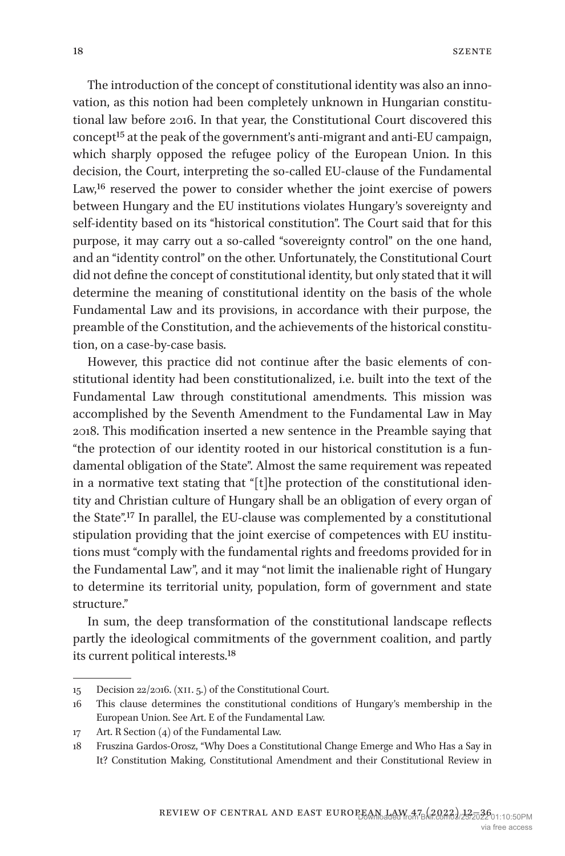The introduction of the concept of constitutional identity was also an innovation, as this notion had been completely unknown in Hungarian constitutional law before 2016. In that year, the Constitutional Court discovered this concept[15](#page-6-0) at the peak of the government's anti-migrant and anti-EU campaign, which sharply opposed the refugee policy of the European Union. In this decision, the Court, interpreting the so-called EU-clause of the Fundamental Law,<sup>16</sup> reserved the power to consider whether the joint exercise of powers between Hungary and the EU institutions violates Hungary's sovereignty and self-identity based on its "historical constitution". The Court said that for this purpose, it may carry out a so-called "sovereignty control" on the one hand, and an "identity control" on the other. Unfortunately, the Constitutional Court did not define the concept of constitutional identity, but only stated that it will determine the meaning of constitutional identity on the basis of the whole Fundamental Law and its provisions, in accordance with their purpose, the preamble of the Constitution, and the achievements of the historical constitution, on a case-by-case basis.

However, this practice did not continue after the basic elements of constitutional identity had been constitutionalized, i.e. built into the text of the Fundamental Law through constitutional amendments. This mission was accomplished by the Seventh Amendment to the Fundamental Law in May 2018. This modification inserted a new sentence in the Preamble saying that "the protection of our identity rooted in our historical constitution is a fundamental obligation of the State". Almost the same requirement was repeated in a normative text stating that "[t]he protection of the constitutional identity and Christian culture of Hungary shall be an obligation of every organ of the State".[17](#page-6-2) In parallel, the EU-clause was complemented by a constitutional stipulation providing that the joint exercise of competences with EU institutions must "comply with the fundamental rights and freedoms provided for in the Fundamental Law", and it may "not limit the inalienable right of Hungary to determine its territorial unity, population, form of government and state structure."

In sum, the deep transformation of the constitutional landscape reflects partly the ideological commitments of the government coalition, and partly its current political interests[.18](#page-6-3)

<span id="page-6-0"></span><sup>15</sup> Decision 22/2016. (xii. 5.) of the Constitutional Court.

<span id="page-6-1"></span><sup>16</sup> This clause determines the constitutional conditions of Hungary's membership in the European Union. See Art. E of the Fundamental Law.

<span id="page-6-2"></span><sup>17</sup> Art. R Section (4) of the Fundamental Law.

<span id="page-6-3"></span><sup>18</sup> Fruszina Gardos-Orosz, "Why Does a Constitutional Change Emerge and Who Has a Say in It? Constitution Making, Constitutional Amendment and their Constitutional Review in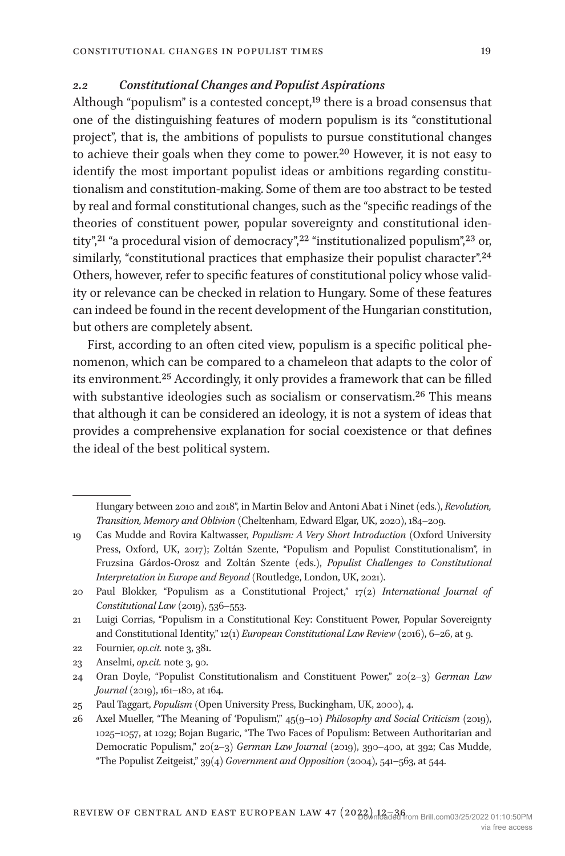### *2.2 Constitutional Changes and Populist Aspirations*

Although "populism" is a contested concept,[19](#page-7-0) there is a broad consensus that one of the distinguishing features of modern populism is its "constitutional project", that is, the ambitions of populists to pursue constitutional changes to achieve their goals when they come to power.[20](#page-7-1) However, it is not easy to identify the most important populist ideas or ambitions regarding constitutionalism and constitution-making. Some of them are too abstract to be tested by real and formal constitutional changes, such as the "specific readings of the theories of constituent power, popular sovereignty and constitutional iden-tity",<sup>[21](#page-7-2)</sup> "a procedural vision of democracy",<sup>[22](#page-7-3)</sup> "institutionalized populism",<sup>23</sup> or, similarly, "constitutional practices that emphasize their populist character".<sup>[24](#page-7-5)</sup> Others, however, refer to specific features of constitutional policy whose validity or relevance can be checked in relation to Hungary. Some of these features can indeed be found in the recent development of the Hungarian constitution, but others are completely absent.

First, according to an often cited view, populism is a specific political phenomenon, which can be compared to a chameleon that adapts to the color of its environment.[25](#page-7-6) Accordingly, it only provides a framework that can be filled with substantive ideologies such as socialism or conservatism.<sup>26</sup> This means that although it can be considered an ideology, it is not a system of ideas that provides a comprehensive explanation for social coexistence or that defines the ideal of the best political system.

Hungary between 2010 and 2018", in Martin Belov and Antoni Abat i Ninet (eds.), *Revolution, Transition, Memory and Oblivion* (Cheltenham, Edward Elgar, UK, 2020), 184–209.

<span id="page-7-0"></span><sup>19</sup> Cas Mudde and Rovira Kaltwasser, *Populism: A Very Short Introduction* (Oxford University Press, Oxford, UK, 2017); Zoltán Szente, "Populism and Populist Constitutionalism", in Fruzsina Gárdos-Orosz and Zoltán Szente (eds.), *Populist Challenges to Constitutional Interpretation in Europe and Beyond* (Routledge, London, UK, 2021).

<span id="page-7-1"></span><sup>20</sup> Paul Blokker, "Populism as a Constitutional Project," 17(2) *International Journal of Constitutional Law* (2019), 536–553.

<span id="page-7-2"></span><sup>21</sup> Luigi Corrias, "Populism in a Constitutional Key: Constituent Power, Popular Sovereignty and Constitutional Identity," 12(1) *European Constitutional Law Review* (2016), 6–26, at 9.

<span id="page-7-3"></span><sup>22</sup> Fournier, *op.cit.* note 3, 381.

<span id="page-7-4"></span><sup>23</sup> Anselmi, *op.cit.* note 3, 90.

<span id="page-7-5"></span><sup>24</sup> Oran Doyle, "Populist Constitutionalism and Constituent Power," 20(2–3) *German Law Journal* (2019), 161–180, at 164.

<span id="page-7-6"></span><sup>25</sup> Paul Taggart, *Populism* (Open University Press, Buckingham, UK, 2000), 4.

<span id="page-7-7"></span><sup>26</sup> Axel Mueller, "The Meaning of ʻPopulism'," 45(9–10) *Philosophy and Social Criticism* (2019), 1025–1057, at 1029; Bojan Bugaric, "The Two Faces of Populism: Between Authoritarian and Democratic Populism," 20(2–3) *German Law Journal* (2019), 390–400, at 392; Cas Mudde, "The Populist Zeitgeist," 39(4) *Government and Opposition* (2004), 541–563, at 544.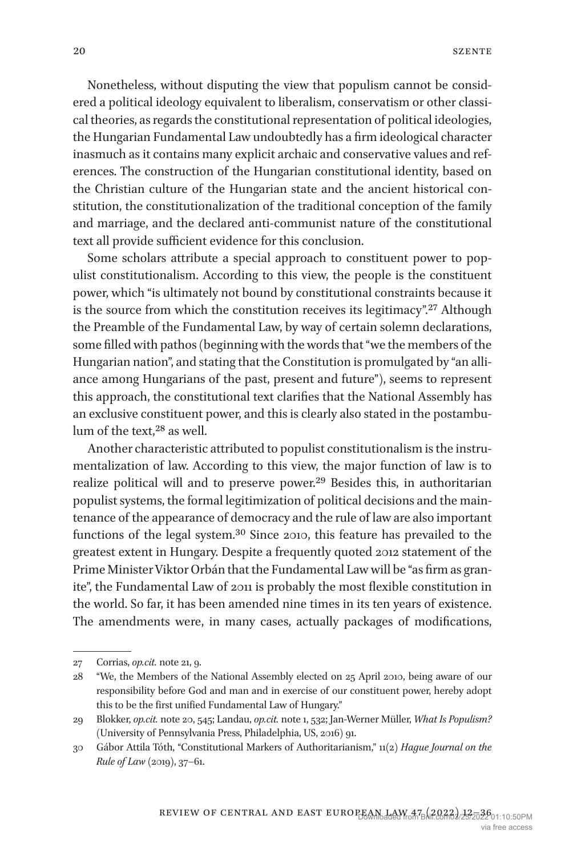Nonetheless, without disputing the view that populism cannot be considered a political ideology equivalent to liberalism, conservatism or other classical theories, as regards the constitutional representation of political ideologies, the Hungarian Fundamental Law undoubtedly has a firm ideological character inasmuch as it contains many explicit archaic and conservative values and references. The construction of the Hungarian constitutional identity, based on the Christian culture of the Hungarian state and the ancient historical constitution, the constitutionalization of the traditional conception of the family and marriage, and the declared anti-communist nature of the constitutional text all provide sufficient evidence for this conclusion.

Some scholars attribute a special approach to constituent power to populist constitutionalism. According to this view, the people is the constituent power, which "is ultimately not bound by constitutional constraints because it is the source from which the constitution receives its legitimacy"[.27](#page-8-0) Although the Preamble of the Fundamental Law, by way of certain solemn declarations, some filled with pathos (beginning with the words that "we the members of the Hungarian nation", and stating that the Constitution is promulgated by "an alliance among Hungarians of the past, present and future"), seems to represent this approach, the constitutional text clarifies that the National Assembly has an exclusive constituent power, and this is clearly also stated in the postambulum of the text,<sup>28</sup> as well.

Another characteristic attributed to populist constitutionalism is the instrumentalization of law. According to this view, the major function of law is to realize political will and to preserve power.[29](#page-8-2) Besides this, in authoritarian populist systems, the formal legitimization of political decisions and the maintenance of the appearance of democracy and the rule of law are also important functions of the legal system[.30](#page-8-3) Since 2010, this feature has prevailed to the greatest extent in Hungary. Despite a frequently quoted 2012 statement of the Prime Minister Viktor Orbán that the Fundamental Law will be "as firm as granite", the Fundamental Law of 2011 is probably the most flexible constitution in the world. So far, it has been amended nine times in its ten years of existence. The amendments were, in many cases, actually packages of modifications,

<span id="page-8-0"></span><sup>27</sup> Corrias, *op.cit.* note 21, 9.

<span id="page-8-1"></span><sup>28</sup> "We, the Members of the National Assembly elected on 25 April 2010, being aware of our responsibility before God and man and in exercise of our constituent power, hereby adopt this to be the first unified Fundamental Law of Hungary."

<span id="page-8-2"></span><sup>29</sup> Blokker, *op.cit.* note 20, 545; Landau, *op.cit.* note 1, 532; Jan-Werner Müller, *What Is Populism?* (University of Pennsylvania Press, Philadelphia, US, 2016) 91.

<span id="page-8-3"></span><sup>30</sup> Gábor Attila Tóth, "Constitutional Markers of Authoritarianism," 11(2) *Hague Journal on the Rule of Law* (2019), 37–61.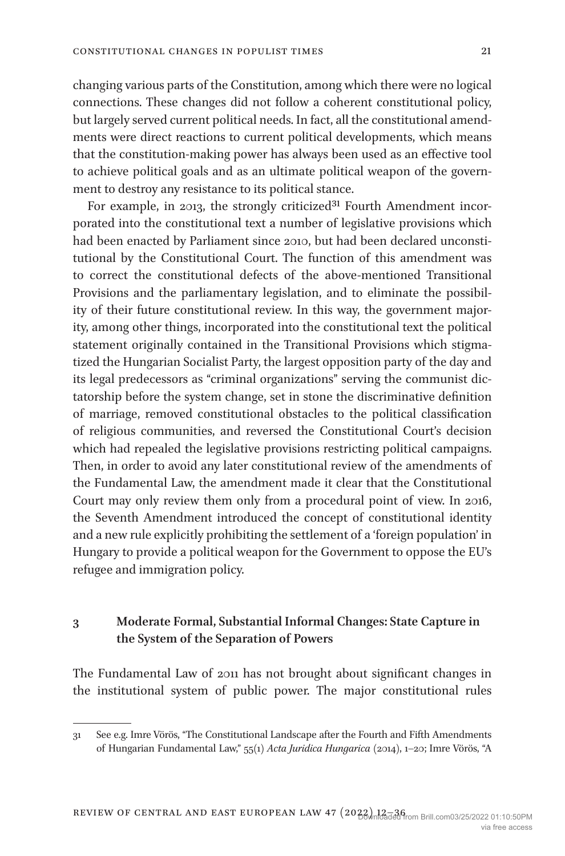changing various parts of the Constitution, among which there were no logical connections. These changes did not follow a coherent constitutional policy, but largely served current political needs. In fact, all the constitutional amendments were direct reactions to current political developments, which means that the constitution-making power has always been used as an effective tool to achieve political goals and as an ultimate political weapon of the government to destroy any resistance to its political stance.

For example, in 2013, the strongly criticized<sup>31</sup> Fourth Amendment incorporated into the constitutional text a number of legislative provisions which had been enacted by Parliament since 2010, but had been declared unconstitutional by the Constitutional Court. The function of this amendment was to correct the constitutional defects of the above-mentioned Transitional Provisions and the parliamentary legislation, and to eliminate the possibility of their future constitutional review. In this way, the government majority, among other things, incorporated into the constitutional text the political statement originally contained in the Transitional Provisions which stigmatized the Hungarian Socialist Party, the largest opposition party of the day and its legal predecessors as "criminal organizations" serving the communist dictatorship before the system change, set in stone the discriminative definition of marriage, removed constitutional obstacles to the political classification of religious communities, and reversed the Constitutional Court's decision which had repealed the legislative provisions restricting political campaigns. Then, in order to avoid any later constitutional review of the amendments of the Fundamental Law, the amendment made it clear that the Constitutional Court may only review them only from a procedural point of view. In 2016, the Seventh Amendment introduced the concept of constitutional identity and a new rule explicitly prohibiting the settlement of a 'foreign population' in Hungary to provide a political weapon for the Government to oppose the EU's refugee and immigration policy.

# **3 Moderate Formal, Substantial Informal Changes: State Capture in the System of the Separation of Powers**

The Fundamental Law of 2011 has not brought about significant changes in the institutional system of public power. The major constitutional rules

<span id="page-9-0"></span><sup>31</sup> See e.g. Imre Vörös, "The Constitutional Landscape after the Fourth and Fifth Amendments of Hungarian Fundamental Law," 55(1) *Acta Juridica Hungarica* (2014), 1–20; Imre Vörös, "A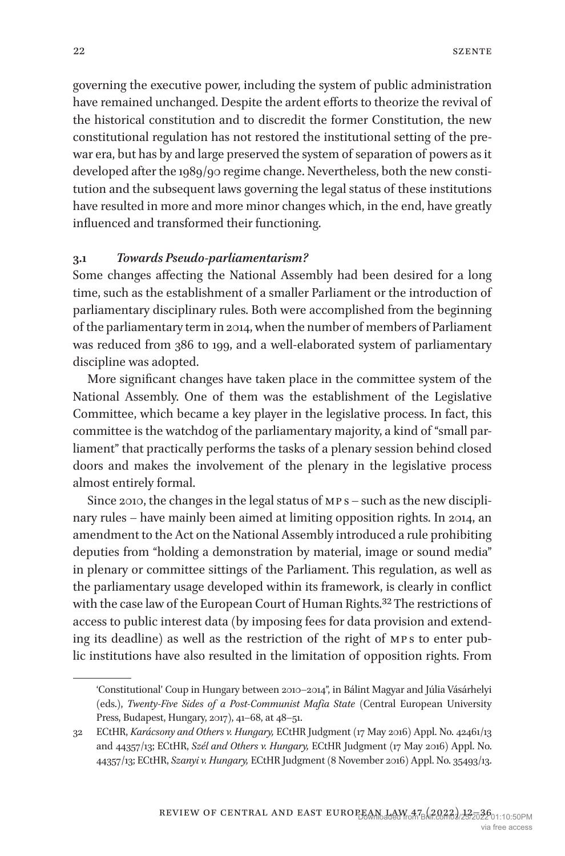governing the executive power, including the system of public administration have remained unchanged. Despite the ardent efforts to theorize the revival of the historical constitution and to discredit the former Constitution, the new constitutional regulation has not restored the institutional setting of the prewar era, but has by and large preserved the system of separation of powers as it developed after the 1989/90 regime change. Nevertheless, both the new constitution and the subsequent laws governing the legal status of these institutions have resulted in more and more minor changes which, in the end, have greatly influenced and transformed their functioning.

#### **3.1** *Towards Pseudo-parliamentarism?*

Some changes affecting the National Assembly had been desired for a long time, such as the establishment of a smaller Parliament or the introduction of parliamentary disciplinary rules. Both were accomplished from the beginning of the parliamentary term in 2014, when the number of members of Parliament was reduced from 386 to 199, and a well-elaborated system of parliamentary discipline was adopted.

More significant changes have taken place in the committee system of the National Assembly. One of them was the establishment of the Legislative Committee, which became a key player in the legislative process. In fact, this committee is the watchdog of the parliamentary majority, a kind of "small parliament" that practically performs the tasks of a plenary session behind closed doors and makes the involvement of the plenary in the legislative process almost entirely formal.

Since 2010, the changes in the legal status of MP<sub>s</sub> – such as the new disciplinary rules – have mainly been aimed at limiting opposition rights. In 2014, an amendment to the Act on the National Assembly introduced a rule prohibiting deputies from "holding a demonstration by material, image or sound media" in plenary or committee sittings of the Parliament. This regulation, as well as the parliamentary usage developed within its framework, is clearly in conflict with the case law of the European Court of Human Rights[.32](#page-10-0) The restrictions of access to public interest data (by imposing fees for data provision and extending its deadline) as well as the restriction of the right of MPs to enter public institutions have also resulted in the limitation of opposition rights. From

<sup>&#</sup>x27;Constitutional' Coup in Hungary between 2010–2014", in Bálint Magyar and Júlia Vásárhelyi (eds.), *Twenty-Five Sides of a Post-Communist Mafia State* (Central European University Press, Budapest, Hungary, 2017), 41–68, at 48–51.

<span id="page-10-0"></span><sup>32</sup> ECtHR, *Karácsony and Others v. Hungary,* ECtHR Judgment (17 May 2016) Appl. No. 42461/13 and 44357/13; ECtHR, *Szél and Others v. Hungary,* ECtHR Judgment (17 May 2016) Appl. No. 44357/13; ECtHR, *Szanyi v. Hungary,* ECtHR Judgment (8 November 2016) Appl. No. 35493/13.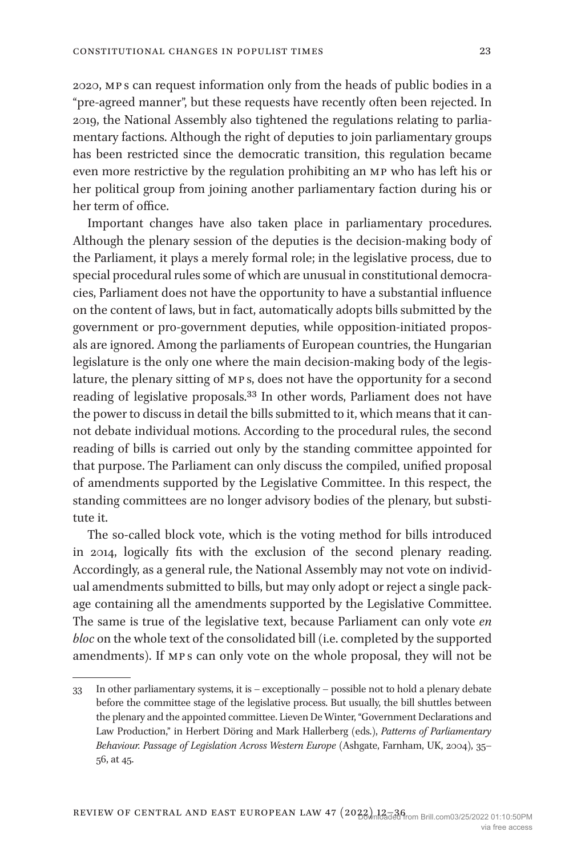2020, mp s can request information only from the heads of public bodies in a "pre-agreed manner", but these requests have recently often been rejected. In 2019, the National Assembly also tightened the regulations relating to parliamentary factions. Although the right of deputies to join parliamentary groups has been restricted since the democratic transition, this regulation became even more restrictive by the regulation prohibiting an mp who has left his or her political group from joining another parliamentary faction during his or her term of office.

Important changes have also taken place in parliamentary procedures. Although the plenary session of the deputies is the decision-making body of the Parliament, it plays a merely formal role; in the legislative process, due to special procedural rules some of which are unusual in constitutional democracies, Parliament does not have the opportunity to have a substantial influence on the content of laws, but in fact, automatically adopts bills submitted by the government or pro-government deputies, while opposition-initiated proposals are ignored. Among the parliaments of European countries, the Hungarian legislature is the only one where the main decision-making body of the legislature, the plenary sitting of mp s, does not have the opportunity for a second reading of legislative proposals[.33](#page-11-0) In other words, Parliament does not have the power to discuss in detail the bills submitted to it, which means that it cannot debate individual motions. According to the procedural rules, the second reading of bills is carried out only by the standing committee appointed for that purpose. The Parliament can only discuss the compiled, unified proposal of amendments supported by the Legislative Committee. In this respect, the standing committees are no longer advisory bodies of the plenary, but substitute it.

The so-called block vote, which is the voting method for bills introduced in 2014, logically fits with the exclusion of the second plenary reading. Accordingly, as a general rule, the National Assembly may not vote on individual amendments submitted to bills, but may only adopt or reject a single package containing all the amendments supported by the Legislative Committee. The same is true of the legislative text, because Parliament can only vote *en bloc* on the whole text of the consolidated bill (i.e. completed by the supported amendments). If mp s can only vote on the whole proposal, they will not be

<span id="page-11-0"></span><sup>33</sup> In other parliamentary systems, it is – exceptionally – possible not to hold a plenary debate before the committee stage of the legislative process. But usually, the bill shuttles between the plenary and the appointed committee. Lieven De Winter, "Government Declarations and Law Production," in Herbert Döring and Mark Hallerberg (eds.), *Patterns of Parliamentary Behaviour. Passage of Legislation Across Western Europe* (Ashgate, Farnham, UK, 2004), 35– 56, at 45.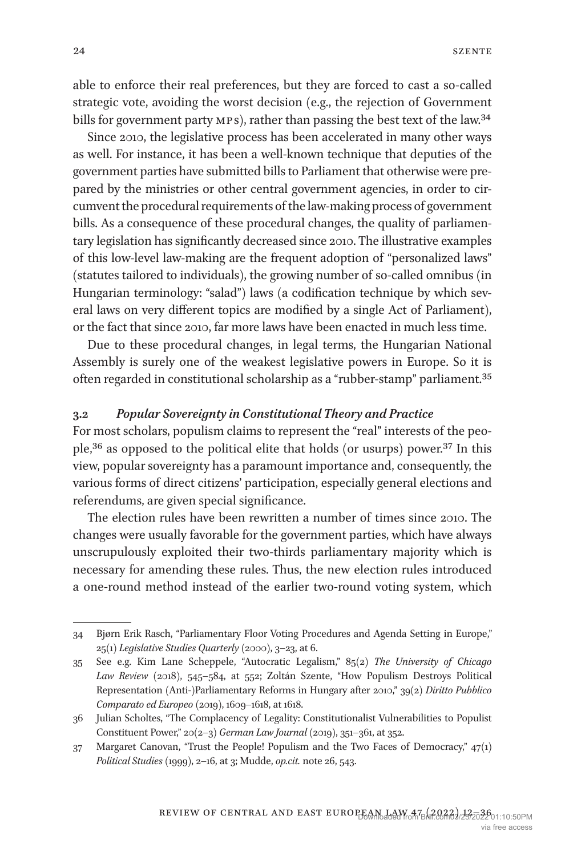able to enforce their real preferences, but they are forced to cast a so-called strategic vote, avoiding the worst decision (e.g., the rejection of Government bills for government party MPs), rather than passing the best text of the law.<sup>34</sup>

Since 2010, the legislative process has been accelerated in many other ways as well. For instance, it has been a well-known technique that deputies of the government parties have submitted bills to Parliament that otherwise were prepared by the ministries or other central government agencies, in order to circumvent the procedural requirements of the law-making process of government bills. As a consequence of these procedural changes, the quality of parliamentary legislation has significantly decreased since 2010. The illustrative examples of this low-level law-making are the frequent adoption of "personalized laws" (statutes tailored to individuals), the growing number of so-called omnibus (in Hungarian terminology: "salad") laws (a codification technique by which several laws on very different topics are modified by a single Act of Parliament), or the fact that since 2010, far more laws have been enacted in much less time.

Due to these procedural changes, in legal terms, the Hungarian National Assembly is surely one of the weakest legislative powers in Europe. So it is often regarded in constitutional scholarship as a "rubber-stamp" parliament[.35](#page-12-1)

#### **3.2** *Popular Sovereignty in Constitutional Theory and Practice*

For most scholars, populism claims to represent the "real" interests of the peo-ple,<sup>36</sup> as opposed to the political elite that holds (or usurps) power.<sup>[37](#page-12-3)</sup> In this view, popular sovereignty has a paramount importance and, consequently, the various forms of direct citizens' participation, especially general elections and referendums, are given special significance.

The election rules have been rewritten a number of times since 2010. The changes were usually favorable for the government parties, which have always unscrupulously exploited their two-thirds parliamentary majority which is necessary for amending these rules. Thus, the new election rules introduced a one-round method instead of the earlier two-round voting system, which

<span id="page-12-0"></span><sup>34</sup> Bjørn Erik Rasch, "Parliamentary Floor Voting Procedures and Agenda Setting in Europe," 25(1) *Legislative Studies Quarterly* (2000), 3–23, at 6.

<span id="page-12-1"></span><sup>35</sup> See e.g. Kim Lane Scheppele, "Autocratic Legalism," 85(2) *The University of Chicago Law Review* (2018), 545–584, at 552; Zoltán Szente, "How Populism Destroys Political Representation (Anti-)Parliamentary Reforms in Hungary after 2010," 39(2) *Diritto Pubblico Comparato ed Europeo* (2019), 1609–1618, at 1618.

<span id="page-12-2"></span><sup>36</sup> Julian Scholtes, "The Complacency of Legality: Constitutionalist Vulnerabilities to Populist Constituent Power," 20(2–3) *German Law Journal* (2019), 351–361, at 352.

<span id="page-12-3"></span><sup>37</sup> Margaret Canovan, "Trust the People! Populism and the Two Faces of Democracy,"  $47(i)$ *Political Studies* (1999), 2–16, at 3; Mudde, *op.cit.* note 26, 543.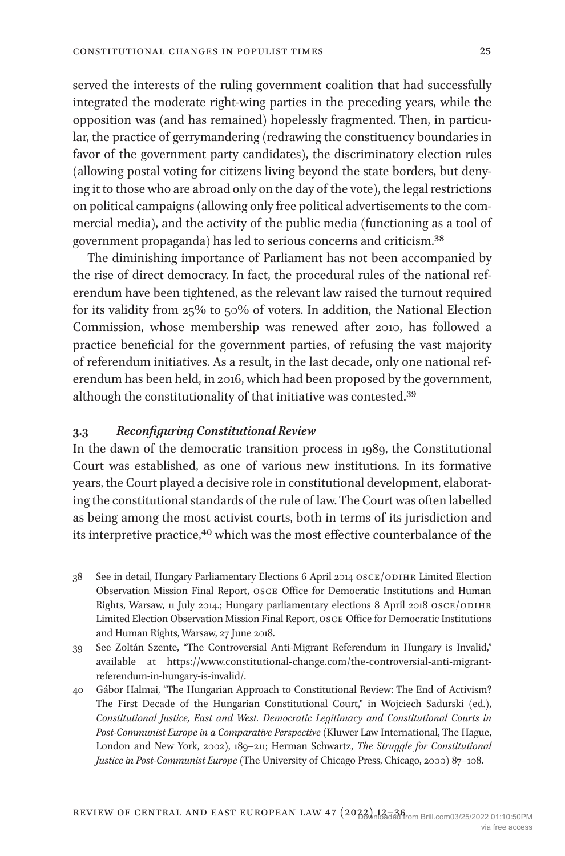served the interests of the ruling government coalition that had successfully integrated the moderate right-wing parties in the preceding years, while the opposition was (and has remained) hopelessly fragmented. Then, in particular, the practice of gerrymandering (redrawing the constituency boundaries in favor of the government party candidates), the discriminatory election rules (allowing postal voting for citizens living beyond the state borders, but denying it to those who are abroad only on the day of the vote), the legal restrictions on political campaigns (allowing only free political advertisements to the commercial media), and the activity of the public media (functioning as a tool of government propaganda) has led to serious concerns and criticism.[38](#page-13-0)

The diminishing importance of Parliament has not been accompanied by the rise of direct democracy. In fact, the procedural rules of the national referendum have been tightened, as the relevant law raised the turnout required for its validity from 25% to 50% of voters. In addition, the National Election Commission, whose membership was renewed after 2010, has followed a practice beneficial for the government parties, of refusing the vast majority of referendum initiatives. As a result, in the last decade, only one national referendum has been held, in 2016, which had been proposed by the government, although the constitutionality of that initiative was contested[.39](#page-13-1)

## **3.3** *Reconfiguring Constitutional Review*

In the dawn of the democratic transition process in 1989, the Constitutional Court was established, as one of various new institutions. In its formative years, the Court played a decisive role in constitutional development, elaborating the constitutional standards of the rule of law. The Court was often labelled as being among the most activist courts, both in terms of its jurisdiction and its interpretive practice,<sup>40</sup> which was the most effective counterbalance of the

<span id="page-13-0"></span><sup>38</sup> See in detail, Hungary Parliamentary Elections 6 April 2014 OSCE/ODIHR Limited Election Observation Mission Final Report, osce Office for Democratic Institutions and Human Rights, Warsaw, 11 July 2014.; Hungary parliamentary elections 8 April 2018 OSCE/ODIHR Limited Election Observation Mission Final Report, osce Office for Democratic Institutions and Human Rights, Warsaw, 27 June 2018.

<span id="page-13-1"></span><sup>39</sup> See Zoltán Szente, "The Controversial Anti-Migrant Referendum in Hungary is Invalid," available at [https://www.constitutional-change.com/the-controversial-anti-migrant](https://www.constitutional-change.com/the-controversial-anti-migrant-referendum-in-hungary-is-invalid/)[referendum-in-hungary-is-invalid/.](https://www.constitutional-change.com/the-controversial-anti-migrant-referendum-in-hungary-is-invalid/)

<span id="page-13-2"></span><sup>40</sup> Gábor Halmai, "The Hungarian Approach to Constitutional Review: The End of Activism? The First Decade of the Hungarian Constitutional Court," in Wojciech Sadurski (ed.), *Constitutional Justice, East and West. Democratic Legitimacy and Constitutional Courts in Post-Communist Europe in a Comparative Perspective* (Kluwer Law International, The Hague, London and New York, 2002), 189–211; Herman Schwartz, *The Struggle for Constitutional Justice in Post-Communist Europe* (The University of Chicago Press, Chicago, 2000) 87–108.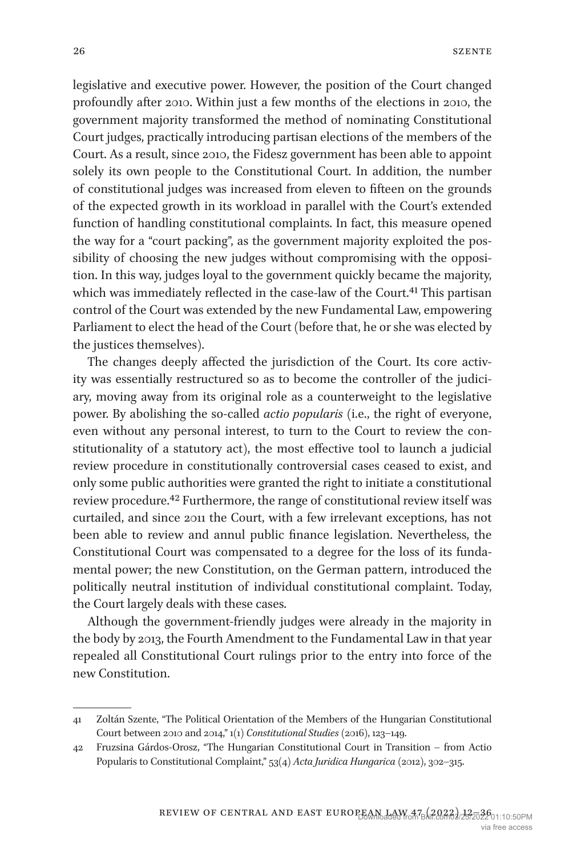legislative and executive power. However, the position of the Court changed profoundly after 2010. Within just a few months of the elections in 2010, the government majority transformed the method of nominating Constitutional Court judges, practically introducing partisan elections of the members of the Court. As a result, since 2010, the Fidesz government has been able to appoint solely its own people to the Constitutional Court. In addition, the number of constitutional judges was increased from eleven to fifteen on the grounds of the expected growth in its workload in parallel with the Court's extended function of handling constitutional complaints. In fact, this measure opened the way for a "court packing", as the government majority exploited the possibility of choosing the new judges without compromising with the opposition. In this way, judges loyal to the government quickly became the majority, which was immediately reflected in the case-law of the Court.<sup>41</sup> This partisan control of the Court was extended by the new Fundamental Law, empowering Parliament to elect the head of the Court (before that, he or she was elected by the justices themselves).

The changes deeply affected the jurisdiction of the Court. Its core activity was essentially restructured so as to become the controller of the judiciary, moving away from its original role as a counterweight to the legislative power. By abolishing the so-called *actio popularis* (i.e., the right of everyone, even without any personal interest, to turn to the Court to review the constitutionality of a statutory act), the most effective tool to launch a judicial review procedure in constitutionally controversial cases ceased to exist, and only some public authorities were granted the right to initiate a constitutional review procedure[.42](#page-14-1) Furthermore, the range of constitutional review itself was curtailed, and since 2011 the Court, with a few irrelevant exceptions, has not been able to review and annul public finance legislation. Nevertheless, the Constitutional Court was compensated to a degree for the loss of its fundamental power; the new Constitution, on the German pattern, introduced the politically neutral institution of individual constitutional complaint. Today, the Court largely deals with these cases.

Although the government-friendly judges were already in the majority in the body by 2013, the Fourth Amendment to the Fundamental Law in that year repealed all Constitutional Court rulings prior to the entry into force of the new Constitution.

<span id="page-14-0"></span><sup>41</sup> Zoltán Szente, "The Political Orientation of the Members of the Hungarian Constitutional Court between 2010 and 2014," 1(1) *Constitutional Studies* (2016), 123–149.

<span id="page-14-1"></span><sup>42</sup> Fruzsina Gárdos-Orosz, "The Hungarian Constitutional Court in Transition – from Actio Popularis to Constitutional Complaint," 53(4) *Acta Juridica Hungarica* (2012), 302–315.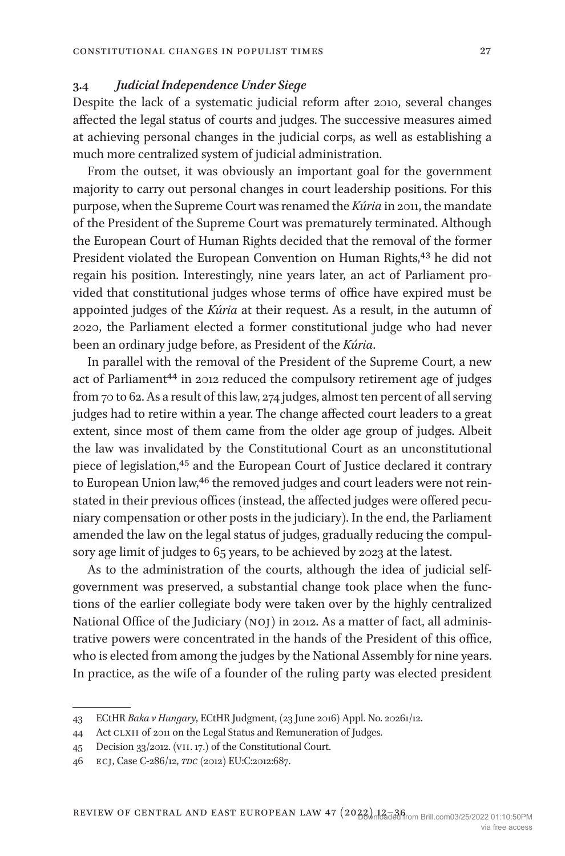## **3.4** *Judicial Independence Under Siege*

Despite the lack of a systematic judicial reform after 2010, several changes affected the legal status of courts and judges. The successive measures aimed at achieving personal changes in the judicial corps, as well as establishing a much more centralized system of judicial administration.

From the outset, it was obviously an important goal for the government majority to carry out personal changes in court leadership positions. For this purpose, when the Supreme Court was renamed the *Kúria* in 2011, the mandate of the President of the Supreme Court was prematurely terminated. Although the European Court of Human Rights decided that the removal of the former President violated the European Convention on Human Rights,<sup>43</sup> he did not regain his position. Interestingly, nine years later, an act of Parliament provided that constitutional judges whose terms of office have expired must be appointed judges of the *Kúria* at their request. As a result, in the autumn of 2020, the Parliament elected a former constitutional judge who had never been an ordinary judge before, as President of the *Kúria*.

In parallel with the removal of the President of the Supreme Court, a new act of Parliament<sup>44</sup> in 2012 reduced the compulsory retirement age of judges from 70 to 62. As a result of this law, 274 judges, almost ten percent of all serving judges had to retire within a year. The change affected court leaders to a great extent, since most of them came from the older age group of judges. Albeit the law was invalidated by the Constitutional Court as an unconstitutional piece of legislation[,45](#page-15-2) and the European Court of Justice declared it contrary to European Union law,<sup>46</sup> the removed judges and court leaders were not reinstated in their previous offices (instead, the affected judges were offered pecuniary compensation or other posts in the judiciary). In the end, the Parliament amended the law on the legal status of judges, gradually reducing the compulsory age limit of judges to 65 years, to be achieved by 2023 at the latest.

As to the administration of the courts, although the idea of judicial selfgovernment was preserved, a substantial change took place when the functions of the earlier collegiate body were taken over by the highly centralized National Office of the Judiciary (noj) in 2012. As a matter of fact, all administrative powers were concentrated in the hands of the President of this office, who is elected from among the judges by the National Assembly for nine years. In practice, as the wife of a founder of the ruling party was elected president

<span id="page-15-0"></span><sup>43</sup> ECtHR *Baka v Hungary*, ECtHR Judgment, (23 June 2016) Appl. No. 20261/12.

<span id="page-15-1"></span><sup>44</sup> Act clxii of 2011 on the Legal Status and Remuneration of Judges.

<span id="page-15-2"></span><sup>45</sup> Decision 33/2012. (vii. 17.) of the Constitutional Court.

<span id="page-15-3"></span><sup>46</sup> ecj, Case C-286/12, *tdc* (2012) EU:C:2012:687.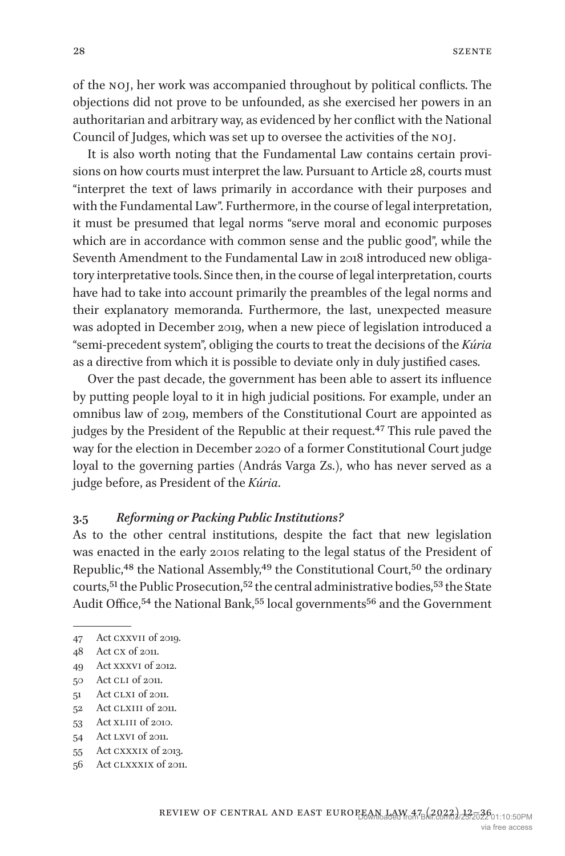of the noj, her work was accompanied throughout by political conflicts. The objections did not prove to be unfounded, as she exercised her powers in an authoritarian and arbitrary way, as evidenced by her conflict with the National Council of Judges, which was set up to oversee the activities of the noj.

It is also worth noting that the Fundamental Law contains certain provisions on how courts must interpret the law. Pursuant to Article 28, courts must "interpret the text of laws primarily in accordance with their purposes and with the Fundamental Law". Furthermore, in the course of legal interpretation, it must be presumed that legal norms "serve moral and economic purposes which are in accordance with common sense and the public good", while the Seventh Amendment to the Fundamental Law in 2018 introduced new obligatory interpretative tools. Since then, in the course of legal interpretation, courts have had to take into account primarily the preambles of the legal norms and their explanatory memoranda. Furthermore, the last, unexpected measure was adopted in December 2019, when a new piece of legislation introduced a "semi-precedent system", obliging the courts to treat the decisions of the *Kúria* as a directive from which it is possible to deviate only in duly justified cases.

Over the past decade, the government has been able to assert its influence by putting people loyal to it in high judicial positions. For example, under an omnibus law of 2019, members of the Constitutional Court are appointed as judges by the President of the Republic at their request.<sup>[47](#page-16-0)</sup> This rule paved the way for the election in December 2020 of a former Constitutional Court judge loyal to the governing parties (András Varga Zs.), who has never served as a judge before, as President of the *Kúria*.

### **3.5** *Reforming or Packing Public Institutions?*

As to the other central institutions, despite the fact that new legislation was enacted in the early 2010s relating to the legal status of the President of Republic,<sup>48</sup> the National Assembly,<sup>49</sup> the Constitutional Court,<sup>50</sup> the ordinary courts,<sup>51</sup> the Public Prosecution,<sup>52</sup> the central administrative bodies,<sup>53</sup> the State Audit Office,<sup>54</sup> the National Bank,<sup>55</sup> local governments<sup>56</sup> and the Government

- <span id="page-16-4"></span>51 Act clxi of 2011.
- <span id="page-16-5"></span>52 Act CLXIII of 2011.
- <span id="page-16-6"></span>53 Act xliii of 2010.
- <span id="page-16-7"></span>54 Act lxvi of 2011.
- <span id="page-16-8"></span>55 Act cxxxix of 2013.
- <span id="page-16-9"></span>56 Act clxxxix of 2011.

<span id="page-16-0"></span><sup>47</sup> Act cxxvii of 2019.

<span id="page-16-1"></span><sup>48</sup> Act cx of 2011.

<span id="page-16-2"></span><sup>49</sup> Act xxxvi of 2012.

<span id="page-16-3"></span><sup>50</sup> Act cli of 2011.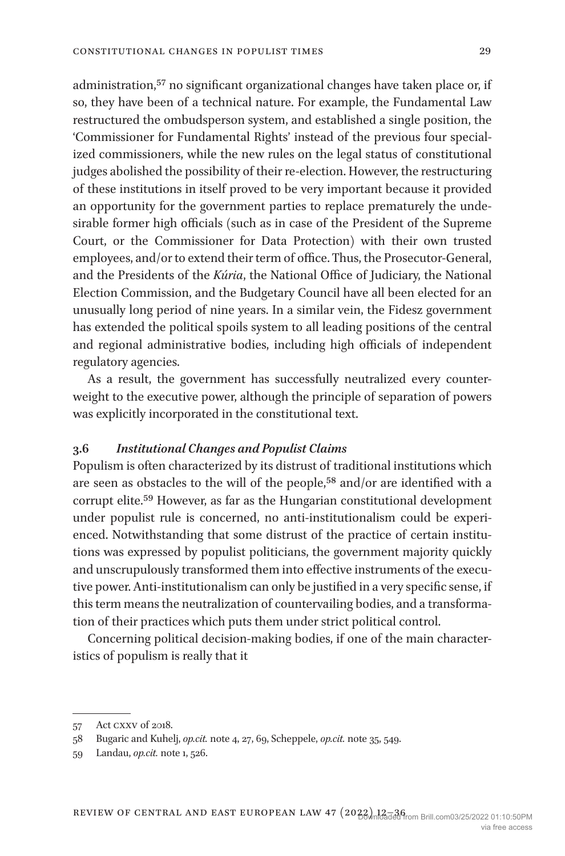administration,<sup>[57](#page-17-0)</sup> no significant organizational changes have taken place or, if so, they have been of a technical nature. For example, the Fundamental Law restructured the ombudsperson system, and established a single position, the 'Commissioner for Fundamental Rights' instead of the previous four specialized commissioners, while the new rules on the legal status of constitutional judges abolished the possibility of their re-election. However, the restructuring of these institutions in itself proved to be very important because it provided an opportunity for the government parties to replace prematurely the undesirable former high officials (such as in case of the President of the Supreme Court, or the Commissioner for Data Protection) with their own trusted employees, and/or to extend their term of office. Thus, the Prosecutor-General, and the Presidents of the *Kúria*, the National Office of Judiciary, the National Election Commission, and the Budgetary Council have all been elected for an unusually long period of nine years. In a similar vein, the Fidesz government has extended the political spoils system to all leading positions of the central and regional administrative bodies, including high officials of independent regulatory agencies.

As a result, the government has successfully neutralized every counterweight to the executive power, although the principle of separation of powers was explicitly incorporated in the constitutional text.

#### **3.6** *Institutional Changes and Populist Claims*

Populism is often characterized by its distrust of traditional institutions which are seen as obstacles to the will of the people,<sup>58</sup> and/or are identified with a corrupt elite.[59](#page-17-2) However, as far as the Hungarian constitutional development under populist rule is concerned, no anti-institutionalism could be experienced. Notwithstanding that some distrust of the practice of certain institutions was expressed by populist politicians, the government majority quickly and unscrupulously transformed them into effective instruments of the executive power. Anti-institutionalism can only be justified in a very specific sense, if this term means the neutralization of countervailing bodies, and a transformation of their practices which puts them under strict political control.

Concerning political decision-making bodies, if one of the main characteristics of populism is really that it

<span id="page-17-0"></span><sup>57</sup> Act cxxv of 2018.

<span id="page-17-1"></span><sup>58</sup> Bugaric and Kuhelj, *op.cit.* note 4, 27, 69, Scheppele, *op.cit.* note 35, 549.

<span id="page-17-2"></span><sup>59</sup> Landau, *op.cit.* note 1, 526.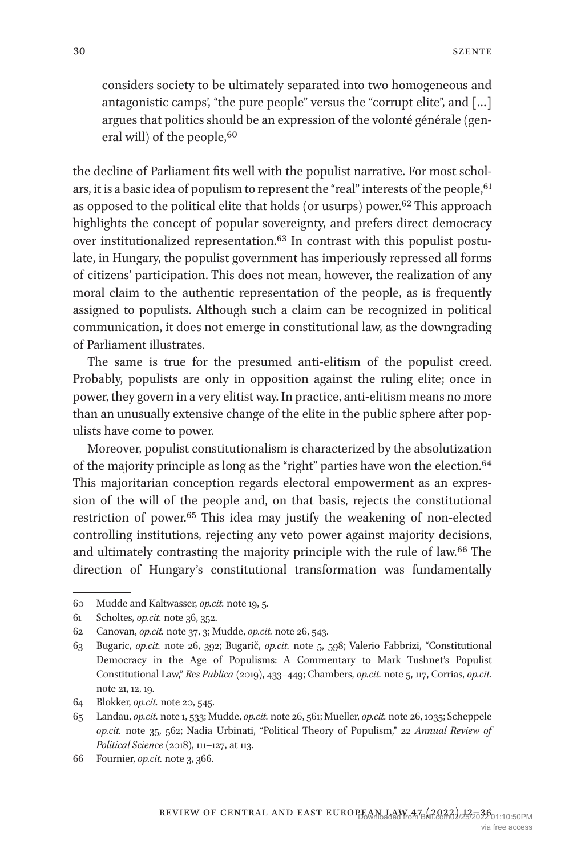considers society to be ultimately separated into two homogeneous and antagonistic camps', "the pure people" versus the "corrupt elite", and […] argues that politics should be an expression of the volonté générale (general will) of the people, <sup>60</sup>

the decline of Parliament fits well with the populist narrative. For most scholars, it is a basic idea of populism to represent the "real" interests of the people, <sup>61</sup> as opposed to the political elite that holds (or usurps) power[.62](#page-18-2) This approach highlights the concept of popular sovereignty, and prefers direct democracy over institutionalized representation[.63](#page-18-3) In contrast with this populist postulate, in Hungary, the populist government has imperiously repressed all forms of citizens' participation. This does not mean, however, the realization of any moral claim to the authentic representation of the people, as is frequently assigned to populists. Although such a claim can be recognized in political communication, it does not emerge in constitutional law, as the downgrading of Parliament illustrates.

The same is true for the presumed anti-elitism of the populist creed. Probably, populists are only in opposition against the ruling elite; once in power, they govern in a very elitist way. In practice, anti-elitism means no more than an unusually extensive change of the elite in the public sphere after populists have come to power.

Moreover, populist constitutionalism is characterized by the absolutization of the majority principle as long as the "right" parties have won the election.<sup>[64](#page-18-4)</sup> This majoritarian conception regards electoral empowerment as an expression of the will of the people and, on that basis, rejects the constitutional restriction of power[.65](#page-18-5) This idea may justify the weakening of non-elected controlling institutions, rejecting any veto power against majority decisions, and ultimately contrasting the majority principle with the rule of law.[66](#page-18-6) The direction of Hungary's constitutional transformation was fundamentally

<span id="page-18-0"></span><sup>60</sup> Mudde and Kaltwasser, *op.cit.* note 19, 5.

<span id="page-18-1"></span><sup>61</sup> Scholtes, *op.cit.* note 36, 352.

<span id="page-18-2"></span><sup>62</sup> Canovan, *op.cit.* note 37, 3; Mudde, *op.cit.* note 26, 543.

<span id="page-18-3"></span><sup>63</sup> Bugaric, *op.cit.* note 26, 392; Bugarič, *op.cit.* note 5, 598; Valerio Fabbrizi, "Constitutional Democracy in the Age of Populisms: A Commentary to Mark Tushnet's Populist Constitutional Law," *Res Publica* (2019), 433–449; Chambers, *op.cit.* note 5, 117, Corrias, *op.cit.* note 21, 12, 19.

<span id="page-18-4"></span><sup>64</sup> Blokker, *op.cit.* note 20, 545.

<span id="page-18-5"></span><sup>65</sup> Landau, *op.cit.* note 1, 533; Mudde, *op.cit.* note 26, 561; Mueller, *op.cit.* note 26, 1035; Scheppele *op.cit.* note 35, 562; Nadia Urbinati, "Political Theory of Populism," 22 *Annual Review of Political Science* (2018), 111–127, at 113.

<span id="page-18-6"></span><sup>66</sup> Fournier, *op.cit.* note 3, 366.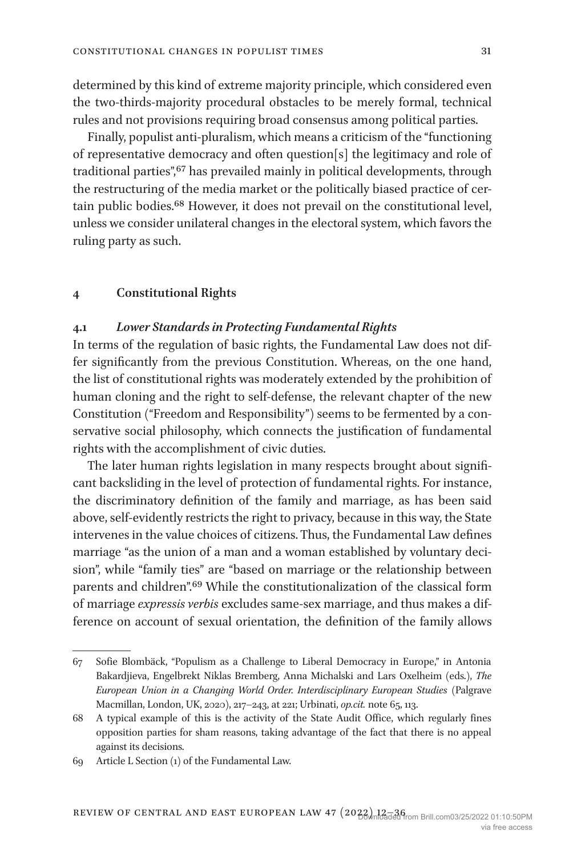determined by this kind of extreme majority principle, which considered even the two-thirds-majority procedural obstacles to be merely formal, technical rules and not provisions requiring broad consensus among political parties.

Finally, populist anti-pluralism, which means a criticism of the "functioning of representative democracy and often question[s] the legitimacy and role of traditional parties"[,67](#page-19-0) has prevailed mainly in political developments, through the restructuring of the media market or the politically biased practice of certain public bodies.[68](#page-19-1) However, it does not prevail on the constitutional level, unless we consider unilateral changes in the electoral system, which favors the ruling party as such.

#### **4 Constitutional Rights**

#### **4.1** *Lower Standards in Protecting Fundamental Rights*

In terms of the regulation of basic rights, the Fundamental Law does not differ significantly from the previous Constitution. Whereas, on the one hand, the list of constitutional rights was moderately extended by the prohibition of human cloning and the right to self-defense, the relevant chapter of the new Constitution ("Freedom and Responsibility") seems to be fermented by a conservative social philosophy, which connects the justification of fundamental rights with the accomplishment of civic duties.

The later human rights legislation in many respects brought about significant backsliding in the level of protection of fundamental rights. For instance, the discriminatory definition of the family and marriage, as has been said above, self-evidently restricts the right to privacy, because in this way, the State intervenes in the value choices of citizens. Thus, the Fundamental Law defines marriage "as the union of a man and a woman established by voluntary decision", while "family ties" are "based on marriage or the relationship between parents and children".[69](#page-19-2) While the constitutionalization of the classical form of marriage *expressis verbis* excludes same-sex marriage, and thus makes a difference on account of sexual orientation, the definition of the family allows

<span id="page-19-0"></span><sup>67</sup> Sofie Blombäck, "Populism as a Challenge to Liberal Democracy in Europe," in Antonia Bakardjieva, Engelbrekt Niklas Bremberg, Anna Michalski and Lars Oxelheim (eds.), *The European Union in a Changing World Order. Interdisciplinary European Studies* (Palgrave Macmillan, London, UK, 2020), 217–243, at 221; Urbinati, *op.cit.* note 65, 113.

<span id="page-19-1"></span><sup>68</sup> A typical example of this is the activity of the State Audit Office, which regularly fines opposition parties for sham reasons, taking advantage of the fact that there is no appeal against its decisions.

<span id="page-19-2"></span><sup>69</sup> Article L Section (1) of the Fundamental Law.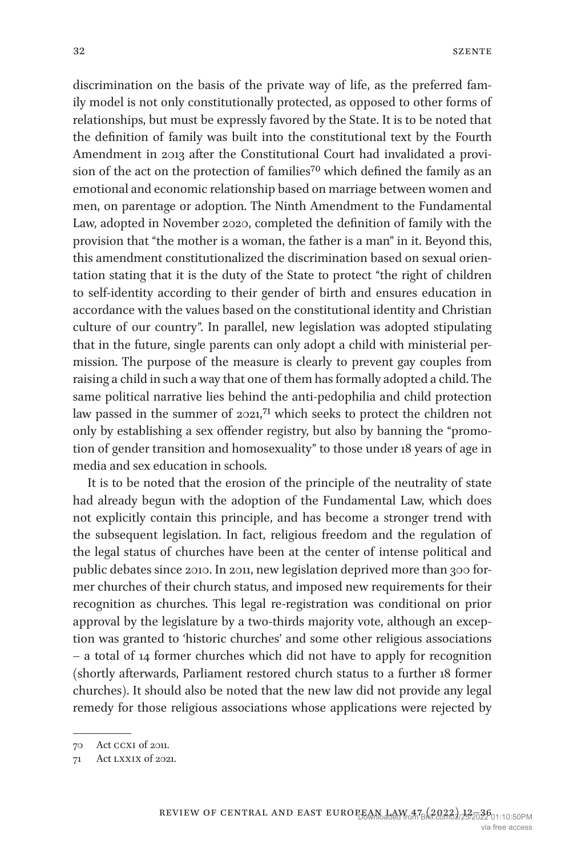discrimination on the basis of the private way of life, as the preferred family model is not only constitutionally protected, as opposed to other forms of relationships, but must be expressly favored by the State. It is to be noted that the definition of family was built into the constitutional text by the Fourth Amendment in 2013 after the Constitutional Court had invalidated a provi-sion of the act on the protection of families<sup>[70](#page-20-0)</sup> which defined the family as an emotional and economic relationship based on marriage between women and men, on parentage or adoption. The Ninth Amendment to the Fundamental Law, adopted in November 2020, completed the definition of family with the provision that "the mother is a woman, the father is a man" in it. Beyond this, this amendment constitutionalized the discrimination based on sexual orientation stating that it is the duty of the State to protect "the right of children to self-identity according to their gender of birth and ensures education in accordance with the values based on the constitutional identity and Christian culture of our country". In parallel, new legislation was adopted stipulating that in the future, single parents can only adopt a child with ministerial permission. The purpose of the measure is clearly to prevent gay couples from raising a child in such a way that one of them has formally adopted a child. The same political narrative lies behind the anti-pedophilia and child protection law passed in the summer of  $2021$ ,<sup>71</sup> which seeks to protect the children not only by establishing a sex offender registry, but also by banning the "promotion of gender transition and homosexuality" to those under 18 years of age in media and sex education in schools.

It is to be noted that the erosion of the principle of the neutrality of state had already begun with the adoption of the Fundamental Law, which does not explicitly contain this principle, and has become a stronger trend with the subsequent legislation. In fact, religious freedom and the regulation of the legal status of churches have been at the center of intense political and public debates since 2010. In 2011, new legislation deprived more than 300 former churches of their church status, and imposed new requirements for their recognition as churches. This legal re-registration was conditional on prior approval by the legislature by a two-thirds majority vote, although an exception was granted to 'historic churches' and some other religious associations – a total of 14 former churches which did not have to apply for recognition (shortly afterwards, Parliament restored church status to a further 18 former churches). It should also be noted that the new law did not provide any legal remedy for those religious associations whose applications were rejected by

<span id="page-20-0"></span><sup>70</sup> Act ccxi of 2011.

<span id="page-20-1"></span><sup>71</sup> Act lxxix of 2021.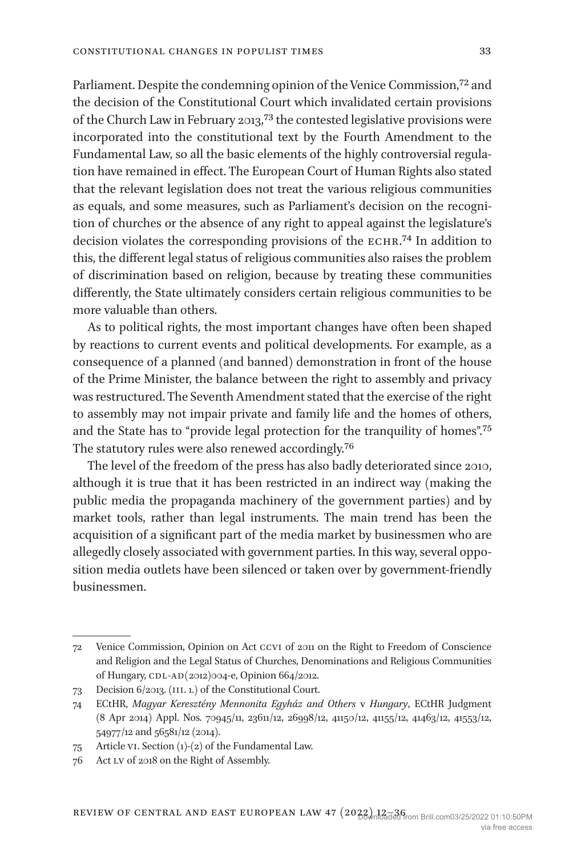Parliament. Despite the condemning opinion of the Venice Commission,<sup>72</sup> and the decision of the Constitutional Court which invalidated certain provisions of the Church Law in February 2013[,73](#page-21-1) the contested legislative provisions were incorporated into the constitutional text by the Fourth Amendment to the Fundamental Law, so all the basic elements of the highly controversial regulation have remained in effect. The European Court of Human Rights also stated that the relevant legislation does not treat the various religious communities as equals, and some measures, such as Parliament's decision on the recognition of churches or the absence of any right to appeal against the legislature's decision violates the corresponding provisions of the echr.[74](#page-21-2) In addition to this, the different legal status of religious communities also raises the problem of discrimination based on religion, because by treating these communities differently, the State ultimately considers certain religious communities to be more valuable than others.

As to political rights, the most important changes have often been shaped by reactions to current events and political developments. For example, as a consequence of a planned (and banned) demonstration in front of the house of the Prime Minister, the balance between the right to assembly and privacy was restructured. The Seventh Amendment stated that the exercise of the right to assembly may not impair private and family life and the homes of others, and the State has to "provide legal protection for the tranquility of homes"[.75](#page-21-3) The statutory rules were also renewed accordingly.[76](#page-21-4)

The level of the freedom of the press has also badly deteriorated since 2010, although it is true that it has been restricted in an indirect way (making the public media the propaganda machinery of the government parties) and by market tools, rather than legal instruments. The main trend has been the acquisition of a significant part of the media market by businessmen who are allegedly closely associated with government parties. In this way, several opposition media outlets have been silenced or taken over by government-friendly businessmen.

<span id="page-21-0"></span><sup>72</sup> Venice Commission, Opinion on Act ccvi of 2011 on the Right to Freedom of Conscience and Religion and the Legal Status of Churches, Denominations and Religious Communities of Hungary, CDL-AD(2012)004-e, Opinion 664/2012.

<span id="page-21-1"></span><sup>73</sup> Decision 6/2013. (iii. 1.) of the Constitutional Court.

<span id="page-21-2"></span><sup>74</sup> ECtHR, *Magyar Keresztény Mennonita Egyház and Others* v *Hungary*, ECtHR Judgment (8 Apr 2014) Appl. Nos. 70945/11, 23611/12, 26998/12, 41150/12, 41155/12, 41463/12, 41553/12, 54977/12 and 56581/12 (2014).

<span id="page-21-3"></span><sup>75</sup> Article vi. Section (1)-(2) of the Fundamental Law.

<span id="page-21-4"></span><sup>76</sup> Act lv of 2018 on the Right of Assembly.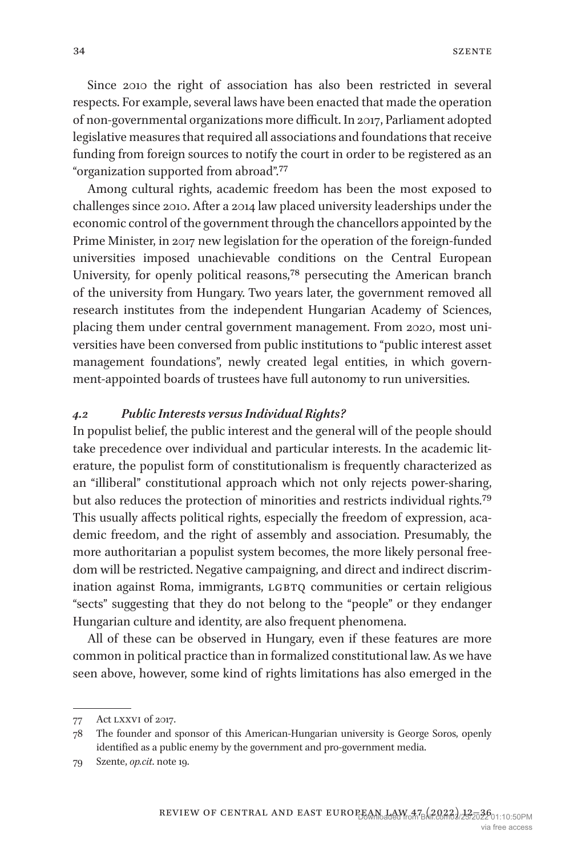Since 2010 the right of association has also been restricted in several respects. For example, several laws have been enacted that made the operation of non-governmental organizations more difficult. In 2017, Parliament adopted legislative measures that required all associations and foundations that receive funding from foreign sources to notify the court in order to be registered as an "organization supported from abroad".[77](#page-22-0)

Among cultural rights, academic freedom has been the most exposed to challenges since 2010. After a 2014 law placed university leaderships under the economic control of the government through the chancellors appointed by the Prime Minister, in 2017 new legislation for the operation of the foreign-funded universities imposed unachievable conditions on the Central European University, for openly political reasons,[78](#page-22-1) persecuting the American branch of the university from Hungary. Two years later, the government removed all research institutes from the independent Hungarian Academy of Sciences, placing them under central government management. From 2020, most universities have been conversed from public institutions to "public interest asset management foundations", newly created legal entities, in which government-appointed boards of trustees have full autonomy to run universities.

#### *4.2 Public Interests versus Individual Rights?*

In populist belief, the public interest and the general will of the people should take precedence over individual and particular interests. In the academic literature, the populist form of constitutionalism is frequently characterized as an "illiberal" constitutional approach which not only rejects power-sharing, but also reduces the protection of minorities and restricts individual rights[.79](#page-22-2) This usually affects political rights, especially the freedom of expression, academic freedom, and the right of assembly and association. Presumably, the more authoritarian a populist system becomes, the more likely personal freedom will be restricted. Negative campaigning, and direct and indirect discrimination against Roma, immigrants, LGBTQ communities or certain religious "sects" suggesting that they do not belong to the "people" or they endanger Hungarian culture and identity, are also frequent phenomena.

All of these can be observed in Hungary, even if these features are more common in political practice than in formalized constitutional law. As we have seen above, however, some kind of rights limitations has also emerged in the

<span id="page-22-0"></span><sup>77</sup> Act lxxvi of 2017.

<span id="page-22-1"></span><sup>78</sup> The founder and sponsor of this American-Hungarian university is George Soros, openly identified as a public enemy by the government and pro-government media.

<span id="page-22-2"></span><sup>79</sup> Szente, *op.cit*. note 19.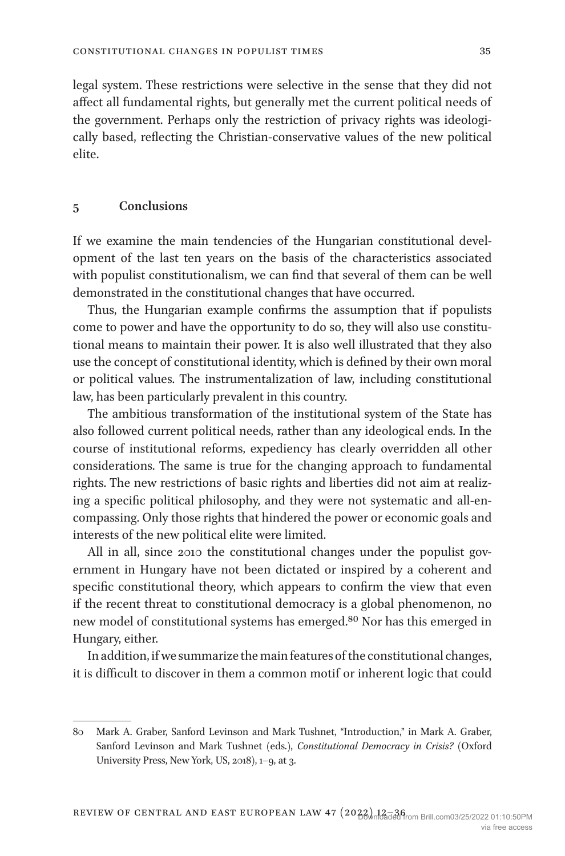legal system. These restrictions were selective in the sense that they did not affect all fundamental rights, but generally met the current political needs of the government. Perhaps only the restriction of privacy rights was ideologically based, reflecting the Christian-conservative values of the new political elite.

#### **5 Conclusions**

If we examine the main tendencies of the Hungarian constitutional development of the last ten years on the basis of the characteristics associated with populist constitutionalism, we can find that several of them can be well demonstrated in the constitutional changes that have occurred.

Thus, the Hungarian example confirms the assumption that if populists come to power and have the opportunity to do so, they will also use constitutional means to maintain their power. It is also well illustrated that they also use the concept of constitutional identity, which is defined by their own moral or political values. The instrumentalization of law, including constitutional law, has been particularly prevalent in this country.

The ambitious transformation of the institutional system of the State has also followed current political needs, rather than any ideological ends. In the course of institutional reforms, expediency has clearly overridden all other considerations. The same is true for the changing approach to fundamental rights. The new restrictions of basic rights and liberties did not aim at realizing a specific political philosophy, and they were not systematic and all-encompassing. Only those rights that hindered the power or economic goals and interests of the new political elite were limited.

All in all, since 2010 the constitutional changes under the populist government in Hungary have not been dictated or inspired by a coherent and specific constitutional theory, which appears to confirm the view that even if the recent threat to constitutional democracy is a global phenomenon, no new model of constitutional systems has emerged.<sup>80</sup> Nor has this emerged in Hungary, either.

In addition, if we summarize the main features of the constitutional changes, it is difficult to discover in them a common motif or inherent logic that could

<span id="page-23-0"></span><sup>80</sup> Mark A. Graber, Sanford Levinson and Mark Tushnet, "Introduction," in Mark A. Graber, Sanford Levinson and Mark Tushnet (eds.), *Constitutional Democracy in Crisis?* (Oxford University Press, New York, US, 2018), 1–9, at 3.